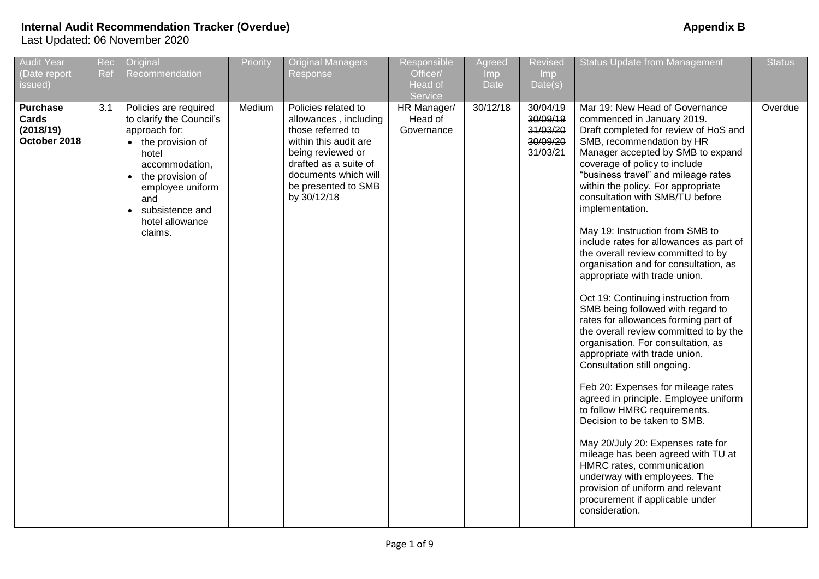| <b>Audit Year</b><br>(Date report<br>issued)          | Rec<br>Ref | Original<br>Recommendation                                                                                                                                                                                            | Priority | <b>Original Managers</b><br>Response                                                                                                                                                                   | Responsible<br>Officer/<br>Head of<br>Service | Agreed<br>Imp<br><b>Date</b> | <b>Revised</b><br><b>Imp</b><br>Date(s)                  | <b>Status Update from Management</b>                                                                                                                                                                                                                                                                                                                                                                                                                                                                                                                                                                                                                                                                                                                                                                                                                                                                                                                                                                                                                                                                                                                                                           | <b>Status</b> |
|-------------------------------------------------------|------------|-----------------------------------------------------------------------------------------------------------------------------------------------------------------------------------------------------------------------|----------|--------------------------------------------------------------------------------------------------------------------------------------------------------------------------------------------------------|-----------------------------------------------|------------------------------|----------------------------------------------------------|------------------------------------------------------------------------------------------------------------------------------------------------------------------------------------------------------------------------------------------------------------------------------------------------------------------------------------------------------------------------------------------------------------------------------------------------------------------------------------------------------------------------------------------------------------------------------------------------------------------------------------------------------------------------------------------------------------------------------------------------------------------------------------------------------------------------------------------------------------------------------------------------------------------------------------------------------------------------------------------------------------------------------------------------------------------------------------------------------------------------------------------------------------------------------------------------|---------------|
| <b>Purchase</b><br>Cards<br>(2018/19)<br>October 2018 | 3.1        | Policies are required<br>to clarify the Council's<br>approach for:<br>• the provision of<br>hotel<br>accommodation,<br>• the provision of<br>employee uniform<br>and<br>subsistence and<br>hotel allowance<br>claims. | Medium   | Policies related to<br>allowances, including<br>those referred to<br>within this audit are<br>being reviewed or<br>drafted as a suite of<br>documents which will<br>be presented to SMB<br>by 30/12/18 | HR Manager/<br>Head of<br>Governance          | 30/12/18                     | 30/04/19<br>30/09/19<br>31/03/20<br>30/09/20<br>31/03/21 | Mar 19: New Head of Governance<br>commenced in January 2019.<br>Draft completed for review of HoS and<br>SMB, recommendation by HR<br>Manager accepted by SMB to expand<br>coverage of policy to include<br>"business travel" and mileage rates<br>within the policy. For appropriate<br>consultation with SMB/TU before<br>implementation.<br>May 19: Instruction from SMB to<br>include rates for allowances as part of<br>the overall review committed to by<br>organisation and for consultation, as<br>appropriate with trade union.<br>Oct 19: Continuing instruction from<br>SMB being followed with regard to<br>rates for allowances forming part of<br>the overall review committed to by the<br>organisation. For consultation, as<br>appropriate with trade union.<br>Consultation still ongoing.<br>Feb 20: Expenses for mileage rates<br>agreed in principle. Employee uniform<br>to follow HMRC requirements.<br>Decision to be taken to SMB.<br>May 20/July 20: Expenses rate for<br>mileage has been agreed with TU at<br>HMRC rates, communication<br>underway with employees. The<br>provision of uniform and relevant<br>procurement if applicable under<br>consideration. | Overdue       |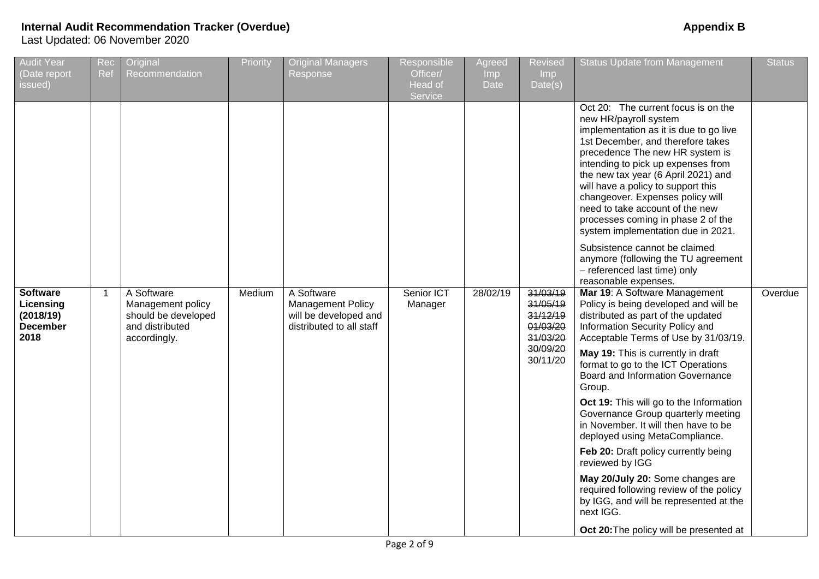| <b>Audit Year</b><br>(Date report<br>issued)                         | Rec<br>Ref              | Original<br>Recommendation                                                                | Priority | <b>Original Managers</b><br>Response                                                        | Responsible<br>Officer/<br>Head of<br>Service | Agreed<br>Imp<br>Date | Revised<br>Imp<br>Date(s)                                | <b>Status Update from Management</b>                                                                                                                                                                                                                                                                                                                                                                                                                 | <b>Status</b> |
|----------------------------------------------------------------------|-------------------------|-------------------------------------------------------------------------------------------|----------|---------------------------------------------------------------------------------------------|-----------------------------------------------|-----------------------|----------------------------------------------------------|------------------------------------------------------------------------------------------------------------------------------------------------------------------------------------------------------------------------------------------------------------------------------------------------------------------------------------------------------------------------------------------------------------------------------------------------------|---------------|
|                                                                      |                         |                                                                                           |          |                                                                                             |                                               |                       |                                                          | Oct 20: The current focus is on the<br>new HR/payroll system<br>implementation as it is due to go live<br>1st December, and therefore takes<br>precedence The new HR system is<br>intending to pick up expenses from<br>the new tax year (6 April 2021) and<br>will have a policy to support this<br>changeover. Expenses policy will<br>need to take account of the new<br>processes coming in phase 2 of the<br>system implementation due in 2021. |               |
|                                                                      |                         |                                                                                           |          |                                                                                             |                                               |                       |                                                          | Subsistence cannot be claimed<br>anymore (following the TU agreement<br>- referenced last time) only<br>reasonable expenses.                                                                                                                                                                                                                                                                                                                         |               |
| <b>Software</b><br>Licensing<br>(2018/19)<br><b>December</b><br>2018 | $\overline{\mathbf{1}}$ | A Software<br>Management policy<br>should be developed<br>and distributed<br>accordingly. | Medium   | A Software<br><b>Management Policy</b><br>will be developed and<br>distributed to all staff | Senior ICT<br>Manager                         | 28/02/19              | 31/03/19<br>31/05/19<br>31/12/19<br>01/03/20<br>31/03/20 | Mar 19: A Software Management<br>Policy is being developed and will be<br>distributed as part of the updated<br>Information Security Policy and<br>Acceptable Terms of Use by 31/03/19.                                                                                                                                                                                                                                                              | Overdue       |
|                                                                      |                         |                                                                                           |          |                                                                                             |                                               |                       | 30/09/20<br>30/11/20                                     | May 19: This is currently in draft<br>format to go to the ICT Operations<br>Board and Information Governance<br>Group.                                                                                                                                                                                                                                                                                                                               |               |
|                                                                      |                         |                                                                                           |          |                                                                                             |                                               |                       |                                                          | Oct 19: This will go to the Information<br>Governance Group quarterly meeting<br>in November. It will then have to be<br>deployed using MetaCompliance.                                                                                                                                                                                                                                                                                              |               |
|                                                                      |                         |                                                                                           |          |                                                                                             |                                               |                       |                                                          | Feb 20: Draft policy currently being<br>reviewed by IGG                                                                                                                                                                                                                                                                                                                                                                                              |               |
|                                                                      |                         |                                                                                           |          |                                                                                             |                                               |                       |                                                          | May 20/July 20: Some changes are<br>required following review of the policy<br>by IGG, and will be represented at the<br>next IGG.                                                                                                                                                                                                                                                                                                                   |               |
|                                                                      |                         |                                                                                           |          |                                                                                             |                                               |                       |                                                          | Oct 20: The policy will be presented at                                                                                                                                                                                                                                                                                                                                                                                                              |               |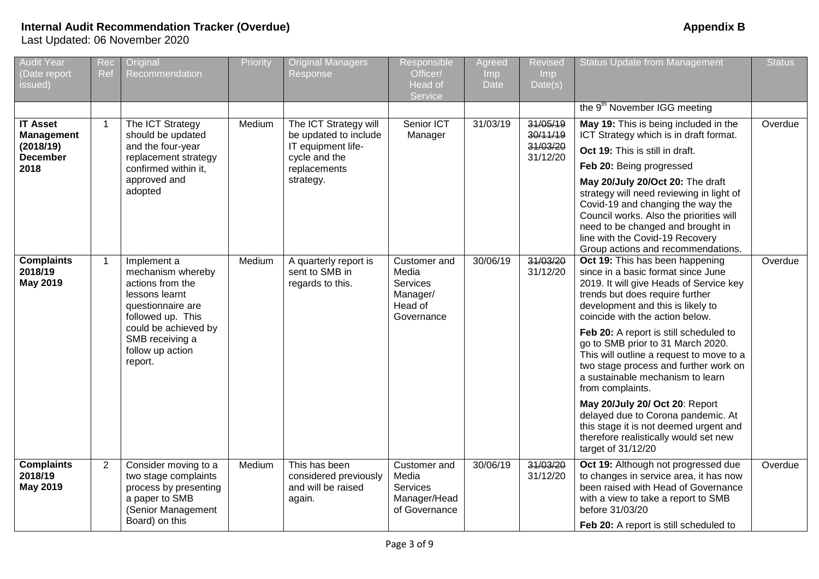# **Internal Audit Recommendation Tracker (Overdue) Appendix B**

Last Updated: 06 November 2020

| <b>Audit Year</b><br>(Date report                                            | Rec<br>Ref     | Original<br>Recommendation                                                                                                                                                                 | Priority | <b>Original Managers</b><br>Response                                                                               | Responsible<br>Officer/                                                | Agreed<br>Imp | <b>Revised</b><br>Imp                        | <b>Status Update from Management</b>                                                                                                                                                                                                                                                                                                                                                                                                                                                      | <b>Status</b> |
|------------------------------------------------------------------------------|----------------|--------------------------------------------------------------------------------------------------------------------------------------------------------------------------------------------|----------|--------------------------------------------------------------------------------------------------------------------|------------------------------------------------------------------------|---------------|----------------------------------------------|-------------------------------------------------------------------------------------------------------------------------------------------------------------------------------------------------------------------------------------------------------------------------------------------------------------------------------------------------------------------------------------------------------------------------------------------------------------------------------------------|---------------|
| issued)                                                                      |                |                                                                                                                                                                                            |          |                                                                                                                    | Head of<br>Service                                                     | <b>Date</b>   | Date(s)                                      |                                                                                                                                                                                                                                                                                                                                                                                                                                                                                           |               |
|                                                                              |                |                                                                                                                                                                                            |          |                                                                                                                    |                                                                        |               |                                              | the 9 <sup>th</sup> November IGG meeting                                                                                                                                                                                                                                                                                                                                                                                                                                                  |               |
| <b>IT Asset</b><br><b>Management</b><br>(2018/19)<br><b>December</b><br>2018 | $\mathbf{1}$   | The ICT Strategy<br>should be updated<br>and the four-year<br>replacement strategy<br>confirmed within it,<br>approved and<br>adopted                                                      | Medium   | The ICT Strategy will<br>be updated to include<br>IT equipment life-<br>cycle and the<br>replacements<br>strategy. | Senior ICT<br>Manager                                                  | 31/03/19      | 31/05/19<br>30/11/19<br>31/03/20<br>31/12/20 | May 19: This is being included in the<br>ICT Strategy which is in draft format.<br>Oct 19: This is still in draft.<br>Feb 20: Being progressed<br>May 20/July 20/Oct 20: The draft<br>strategy will need reviewing in light of<br>Covid-19 and changing the way the<br>Council works. Also the priorities will<br>need to be changed and brought in<br>line with the Covid-19 Recovery<br>Group actions and recommendations.                                                              | Overdue       |
| <b>Complaints</b><br>2018/19<br><b>May 2019</b>                              | -1             | Implement a<br>mechanism whereby<br>actions from the<br>lessons learnt<br>questionnaire are<br>followed up. This<br>could be achieved by<br>SMB receiving a<br>follow up action<br>report. | Medium   | A quarterly report is<br>sent to SMB in<br>regards to this.                                                        | Customer and<br>Media<br>Services<br>Manager/<br>Head of<br>Governance | 30/06/19      | 31/03/20<br>31/12/20                         | Oct 19: This has been happening<br>since in a basic format since June<br>2019. It will give Heads of Service key<br>trends but does require further<br>development and this is likely to<br>coincide with the action below.<br>Feb 20: A report is still scheduled to<br>go to SMB prior to 31 March 2020.<br>This will outline a request to move to a<br>two stage process and further work on<br>a sustainable mechanism to learn<br>from complaints.<br>May 20/July 20/ Oct 20: Report | Overdue       |
|                                                                              |                |                                                                                                                                                                                            |          |                                                                                                                    |                                                                        |               |                                              | delayed due to Corona pandemic. At<br>this stage it is not deemed urgent and<br>therefore realistically would set new<br>target of 31/12/20                                                                                                                                                                                                                                                                                                                                               |               |
| <b>Complaints</b><br>2018/19<br><b>May 2019</b>                              | $\overline{2}$ | Consider moving to a<br>two stage complaints<br>process by presenting<br>a paper to SMB<br>(Senior Management<br>Board) on this                                                            | Medium   | This has been<br>considered previously<br>and will be raised<br>again.                                             | Customer and<br>Media<br>Services<br>Manager/Head<br>of Governance     | 30/06/19      | 31/03/20<br>31/12/20                         | Oct 19: Although not progressed due<br>to changes in service area, it has now<br>been raised with Head of Governance<br>with a view to take a report to SMB<br>before 31/03/20<br>Feb 20: A report is still scheduled to                                                                                                                                                                                                                                                                  | Overdue       |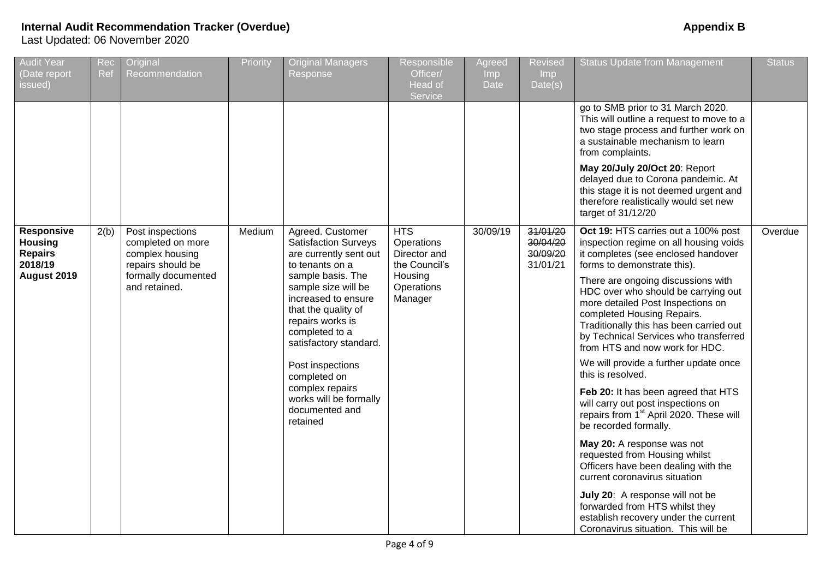| <b>Audit Year</b><br>(Date report<br>issued)                             | Rec<br>Ref | Original<br>Recommendation                                                                                            | Priority | <b>Original Managers</b><br>Response                                                                                                                                                                                                                                                                                                                                  | Responsible<br>Officer/<br>Head of<br>Service                                                 | Agreed<br>Imp<br>Date | <b>Revised</b><br><b>Imp</b><br>Date(s)      | <b>Status Update from Management</b>                                                                                                                                                                                                                                                                                                                                                                                                                                                                                                                                                                                                                                                                                                                                                                                                                                                                                                            | <b>Status</b> |
|--------------------------------------------------------------------------|------------|-----------------------------------------------------------------------------------------------------------------------|----------|-----------------------------------------------------------------------------------------------------------------------------------------------------------------------------------------------------------------------------------------------------------------------------------------------------------------------------------------------------------------------|-----------------------------------------------------------------------------------------------|-----------------------|----------------------------------------------|-------------------------------------------------------------------------------------------------------------------------------------------------------------------------------------------------------------------------------------------------------------------------------------------------------------------------------------------------------------------------------------------------------------------------------------------------------------------------------------------------------------------------------------------------------------------------------------------------------------------------------------------------------------------------------------------------------------------------------------------------------------------------------------------------------------------------------------------------------------------------------------------------------------------------------------------------|---------------|
|                                                                          |            |                                                                                                                       |          |                                                                                                                                                                                                                                                                                                                                                                       |                                                                                               |                       |                                              | go to SMB prior to 31 March 2020.<br>This will outline a request to move to a<br>two stage process and further work on<br>a sustainable mechanism to learn<br>from complaints.                                                                                                                                                                                                                                                                                                                                                                                                                                                                                                                                                                                                                                                                                                                                                                  |               |
|                                                                          |            |                                                                                                                       |          |                                                                                                                                                                                                                                                                                                                                                                       |                                                                                               |                       |                                              | May 20/July 20/Oct 20: Report<br>delayed due to Corona pandemic. At<br>this stage it is not deemed urgent and<br>therefore realistically would set new<br>target of 31/12/20                                                                                                                                                                                                                                                                                                                                                                                                                                                                                                                                                                                                                                                                                                                                                                    |               |
| Responsive<br><b>Housing</b><br><b>Repairs</b><br>2018/19<br>August 2019 | 2(b)       | Post inspections<br>completed on more<br>complex housing<br>repairs should be<br>formally documented<br>and retained. | Medium   | Agreed. Customer<br><b>Satisfaction Surveys</b><br>are currently sent out<br>to tenants on a<br>sample basis. The<br>sample size will be<br>increased to ensure<br>that the quality of<br>repairs works is<br>completed to a<br>satisfactory standard.<br>Post inspections<br>completed on<br>complex repairs<br>works will be formally<br>documented and<br>retained | <b>HTS</b><br>Operations<br>Director and<br>the Council's<br>Housing<br>Operations<br>Manager | 30/09/19              | 31/01/20<br>30/04/20<br>30/09/20<br>31/01/21 | Oct 19: HTS carries out a 100% post<br>inspection regime on all housing voids<br>it completes (see enclosed handover<br>forms to demonstrate this).<br>There are ongoing discussions with<br>HDC over who should be carrying out<br>more detailed Post Inspections on<br>completed Housing Repairs.<br>Traditionally this has been carried out<br>by Technical Services who transferred<br>from HTS and now work for HDC.<br>We will provide a further update once<br>this is resolved.<br>Feb 20: It has been agreed that HTS<br>will carry out post inspections on<br>repairs from 1 <sup>st</sup> April 2020. These will<br>be recorded formally.<br>May 20: A response was not<br>requested from Housing whilst<br>Officers have been dealing with the<br>current coronavirus situation<br>July 20: A response will not be<br>forwarded from HTS whilst they<br>establish recovery under the current<br>Coronavirus situation. This will be | Overdue       |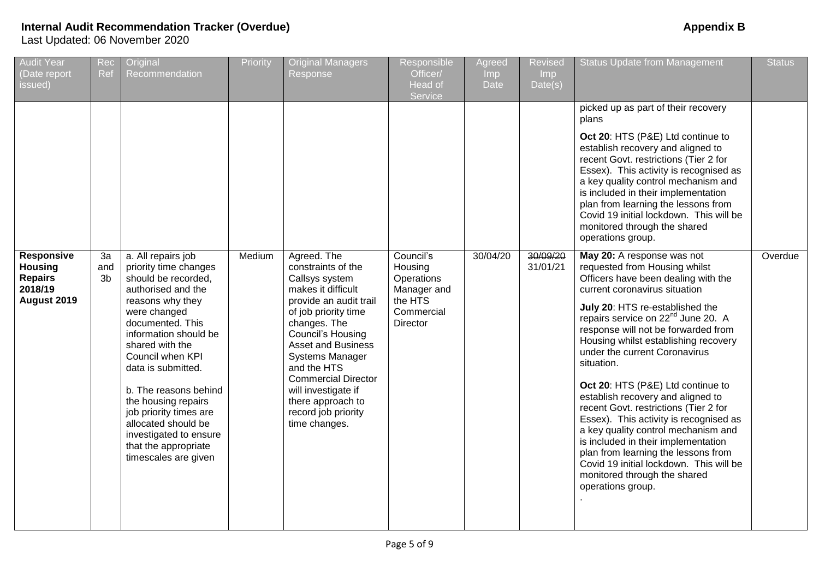| <b>Audit Year</b><br>(Date report<br>issued)                                    | Rec<br>Ref      | Original<br>Recommendation                                                                                                                                                                                                                                                                                                                                                                                        | Priority | <b>Original Managers</b><br>Response                                                                                                                                                                                                                                                                                                                            | Responsible<br>Officer/<br>Head of<br>Service                                                 | Agreed<br><b>Imp</b><br><b>Date</b> | <b>Revised</b><br>Imp<br>Date(s) | <b>Status Update from Management</b>                                                                                                                                                                                                                                                                                                                                                                                                                                                                                                                                                                                                                                                                                                     | <b>Status</b> |
|---------------------------------------------------------------------------------|-----------------|-------------------------------------------------------------------------------------------------------------------------------------------------------------------------------------------------------------------------------------------------------------------------------------------------------------------------------------------------------------------------------------------------------------------|----------|-----------------------------------------------------------------------------------------------------------------------------------------------------------------------------------------------------------------------------------------------------------------------------------------------------------------------------------------------------------------|-----------------------------------------------------------------------------------------------|-------------------------------------|----------------------------------|------------------------------------------------------------------------------------------------------------------------------------------------------------------------------------------------------------------------------------------------------------------------------------------------------------------------------------------------------------------------------------------------------------------------------------------------------------------------------------------------------------------------------------------------------------------------------------------------------------------------------------------------------------------------------------------------------------------------------------------|---------------|
|                                                                                 |                 |                                                                                                                                                                                                                                                                                                                                                                                                                   |          |                                                                                                                                                                                                                                                                                                                                                                 |                                                                                               |                                     |                                  | picked up as part of their recovery<br>plans<br>Oct 20: HTS (P&E) Ltd continue to<br>establish recovery and aligned to<br>recent Govt. restrictions (Tier 2 for<br>Essex). This activity is recognised as<br>a key quality control mechanism and<br>is included in their implementation<br>plan from learning the lessons from<br>Covid 19 initial lockdown. This will be<br>monitored through the shared<br>operations group.                                                                                                                                                                                                                                                                                                           |               |
| <b>Responsive</b><br><b>Housing</b><br><b>Repairs</b><br>2018/19<br>August 2019 | 3a<br>and<br>3b | a. All repairs job<br>priority time changes<br>should be recorded,<br>authorised and the<br>reasons why they<br>were changed<br>documented. This<br>information should be<br>shared with the<br>Council when KPI<br>data is submitted.<br>b. The reasons behind<br>the housing repairs<br>job priority times are<br>allocated should be<br>investigated to ensure<br>that the appropriate<br>timescales are given | Medium   | Agreed. The<br>constraints of the<br>Callsys system<br>makes it difficult<br>provide an audit trail<br>of job priority time<br>changes. The<br><b>Council's Housing</b><br><b>Asset and Business</b><br><b>Systems Manager</b><br>and the HTS<br><b>Commercial Director</b><br>will investigate if<br>there approach to<br>record job priority<br>time changes. | Council's<br>Housing<br>Operations<br>Manager and<br>the HTS<br>Commercial<br><b>Director</b> | 30/04/20                            | 30/09/20<br>31/01/21             | May 20: A response was not<br>requested from Housing whilst<br>Officers have been dealing with the<br>current coronavirus situation<br>July 20: HTS re-established the<br>repairs service on 22 <sup>nd</sup> June 20. A<br>response will not be forwarded from<br>Housing whilst establishing recovery<br>under the current Coronavirus<br>situation.<br>Oct 20: HTS (P&E) Ltd continue to<br>establish recovery and aligned to<br>recent Govt. restrictions (Tier 2 for<br>Essex). This activity is recognised as<br>a key quality control mechanism and<br>is included in their implementation<br>plan from learning the lessons from<br>Covid 19 initial lockdown. This will be<br>monitored through the shared<br>operations group. | Overdue       |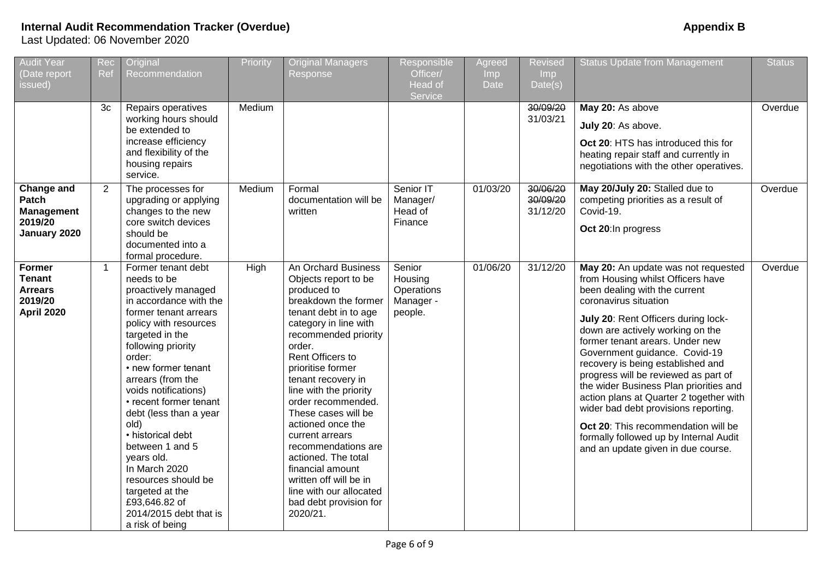| <b>Audit Year</b><br>(Date report<br>issued)                                     | Rec<br>Ref     | Original<br>Recommendation                                                                                                                                                                                                                                                                                                                                                                                                                                                                             | Priority | <b>Original Managers</b><br>Response                                                                                                                                                                                                                                                                                                                                                                                                                                                                              | Responsible<br>Officer/<br>Head of<br>Service           | Agreed<br>Imp<br><b>Date</b> | <b>Revised</b><br>Imp<br>Date(s) | <b>Status Update from Management</b>                                                                                                                                                                                                                                                                                                                                                                                                                                                                                                                                                                               | <b>Status</b> |
|----------------------------------------------------------------------------------|----------------|--------------------------------------------------------------------------------------------------------------------------------------------------------------------------------------------------------------------------------------------------------------------------------------------------------------------------------------------------------------------------------------------------------------------------------------------------------------------------------------------------------|----------|-------------------------------------------------------------------------------------------------------------------------------------------------------------------------------------------------------------------------------------------------------------------------------------------------------------------------------------------------------------------------------------------------------------------------------------------------------------------------------------------------------------------|---------------------------------------------------------|------------------------------|----------------------------------|--------------------------------------------------------------------------------------------------------------------------------------------------------------------------------------------------------------------------------------------------------------------------------------------------------------------------------------------------------------------------------------------------------------------------------------------------------------------------------------------------------------------------------------------------------------------------------------------------------------------|---------------|
|                                                                                  | 3c             | Repairs operatives<br>working hours should<br>be extended to<br>increase efficiency<br>and flexibility of the<br>housing repairs<br>service.                                                                                                                                                                                                                                                                                                                                                           | Medium   |                                                                                                                                                                                                                                                                                                                                                                                                                                                                                                                   |                                                         |                              | 30/09/20<br>31/03/21             | May 20: As above<br>July 20: As above.<br>Oct 20: HTS has introduced this for<br>heating repair staff and currently in<br>negotiations with the other operatives.                                                                                                                                                                                                                                                                                                                                                                                                                                                  | Overdue       |
| Change and<br>Patch<br><b>Management</b><br>2019/20<br>January 2020              | $\overline{2}$ | The processes for<br>upgrading or applying<br>changes to the new<br>core switch devices<br>should be<br>documented into a<br>formal procedure.                                                                                                                                                                                                                                                                                                                                                         | Medium   | Formal<br>documentation will be<br>written                                                                                                                                                                                                                                                                                                                                                                                                                                                                        | Senior IT<br>Manager/<br>Head of<br>Finance             | 01/03/20                     | 30/06/20<br>30/09/20<br>31/12/20 | May 20/July 20: Stalled due to<br>competing priorities as a result of<br>Covid-19.<br>Oct 20:In progress                                                                                                                                                                                                                                                                                                                                                                                                                                                                                                           | Overdue       |
| <b>Former</b><br><b>Tenant</b><br><b>Arrears</b><br>2019/20<br><b>April 2020</b> | $\overline{1}$ | Former tenant debt<br>needs to be<br>proactively managed<br>in accordance with the<br>former tenant arrears<br>policy with resources<br>targeted in the<br>following priority<br>order:<br>• new former tenant<br>arrears (from the<br>voids notifications)<br>• recent former tenant<br>debt (less than a year<br>old)<br>• historical debt<br>between 1 and 5<br>years old.<br>In March 2020<br>resources should be<br>targeted at the<br>£93,646.82 of<br>2014/2015 debt that is<br>a risk of being | High     | An Orchard Business<br>Objects report to be<br>produced to<br>breakdown the former<br>tenant debt in to age<br>category in line with<br>recommended priority<br>order.<br>Rent Officers to<br>prioritise former<br>tenant recovery in<br>line with the priority<br>order recommended.<br>These cases will be<br>actioned once the<br>current arrears<br>recommendations are<br>actioned. The total<br>financial amount<br>written off will be in<br>line with our allocated<br>bad debt provision for<br>2020/21. | Senior<br>Housing<br>Operations<br>Manager -<br>people. | 01/06/20                     | 31/12/20                         | May 20: An update was not requested<br>from Housing whilst Officers have<br>been dealing with the current<br>coronavirus situation<br>July 20: Rent Officers during lock-<br>down are actively working on the<br>former tenant arears. Under new<br>Government guidance. Covid-19<br>recovery is being established and<br>progress will be reviewed as part of<br>the wider Business Plan priorities and<br>action plans at Quarter 2 together with<br>wider bad debt provisions reporting.<br>Oct 20: This recommendation will be<br>formally followed up by Internal Audit<br>and an update given in due course. | Overdue       |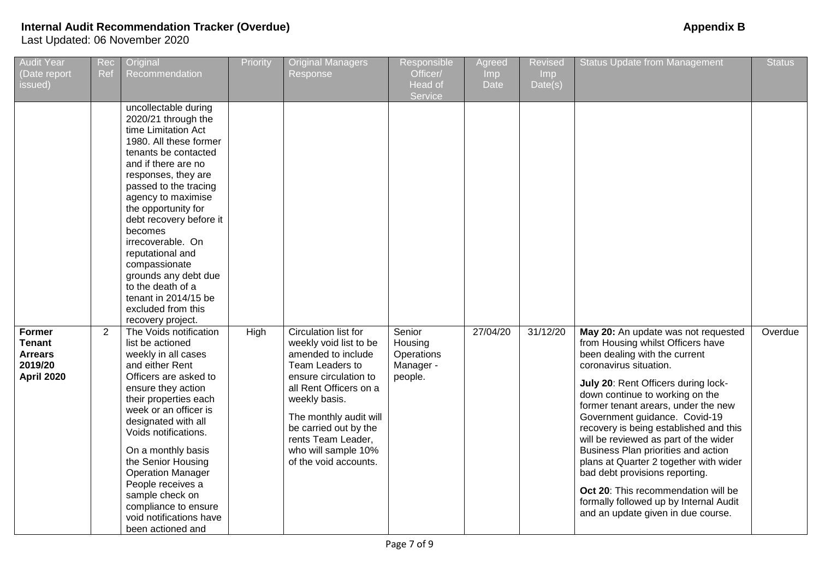| <b>Audit Year</b><br>(Date report<br>issued)                                     | Rec<br>Ref     | Original<br>Recommendation                                                                                                                                                                                                                                                                                                                                                                                                                                                                                                                                                                                                                                                                                                                                                                                                                                                               | Priority | <b>Original Managers</b><br>Response                                                                                                                                                                                                                                                 | Responsible<br>Officer/<br>Head of<br>Service           | Agreed<br>Imp <sub>1</sub><br><b>Date</b> | <b>Revised</b><br>Imp<br>Date(s) | <b>Status Update from Management</b>                                                                                                                                                                                                                                                                                                                                                                                                                                                                                                                                                                               | <b>Status</b> |
|----------------------------------------------------------------------------------|----------------|------------------------------------------------------------------------------------------------------------------------------------------------------------------------------------------------------------------------------------------------------------------------------------------------------------------------------------------------------------------------------------------------------------------------------------------------------------------------------------------------------------------------------------------------------------------------------------------------------------------------------------------------------------------------------------------------------------------------------------------------------------------------------------------------------------------------------------------------------------------------------------------|----------|--------------------------------------------------------------------------------------------------------------------------------------------------------------------------------------------------------------------------------------------------------------------------------------|---------------------------------------------------------|-------------------------------------------|----------------------------------|--------------------------------------------------------------------------------------------------------------------------------------------------------------------------------------------------------------------------------------------------------------------------------------------------------------------------------------------------------------------------------------------------------------------------------------------------------------------------------------------------------------------------------------------------------------------------------------------------------------------|---------------|
| <b>Former</b><br><b>Tenant</b><br><b>Arrears</b><br>2019/20<br><b>April 2020</b> | $\overline{2}$ | uncollectable during<br>2020/21 through the<br>time Limitation Act<br>1980. All these former<br>tenants be contacted<br>and if there are no<br>responses, they are<br>passed to the tracing<br>agency to maximise<br>the opportunity for<br>debt recovery before it<br>becomes<br>irrecoverable. On<br>reputational and<br>compassionate<br>grounds any debt due<br>to the death of a<br>tenant in 2014/15 be<br>excluded from this<br>recovery project.<br>The Voids notification<br>list be actioned<br>weekly in all cases<br>and either Rent<br>Officers are asked to<br>ensure they action<br>their properties each<br>week or an officer is<br>designated with all<br>Voids notifications.<br>On a monthly basis<br>the Senior Housing<br><b>Operation Manager</b><br>People receives a<br>sample check on<br>compliance to ensure<br>void notifications have<br>been actioned and | High     | Circulation list for<br>weekly void list to be<br>amended to include<br>Team Leaders to<br>ensure circulation to<br>all Rent Officers on a<br>weekly basis.<br>The monthly audit will<br>be carried out by the<br>rents Team Leader,<br>who will sample 10%<br>of the void accounts. | Senior<br>Housing<br>Operations<br>Manager -<br>people. | 27/04/20                                  | 31/12/20                         | May 20: An update was not requested<br>from Housing whilst Officers have<br>been dealing with the current<br>coronavirus situation.<br>July 20: Rent Officers during lock-<br>down continue to working on the<br>former tenant arears, under the new<br>Government guidance. Covid-19<br>recovery is being established and this<br>will be reviewed as part of the wider<br>Business Plan priorities and action<br>plans at Quarter 2 together with wider<br>bad debt provisions reporting.<br>Oct 20: This recommendation will be<br>formally followed up by Internal Audit<br>and an update given in due course. | Overdue       |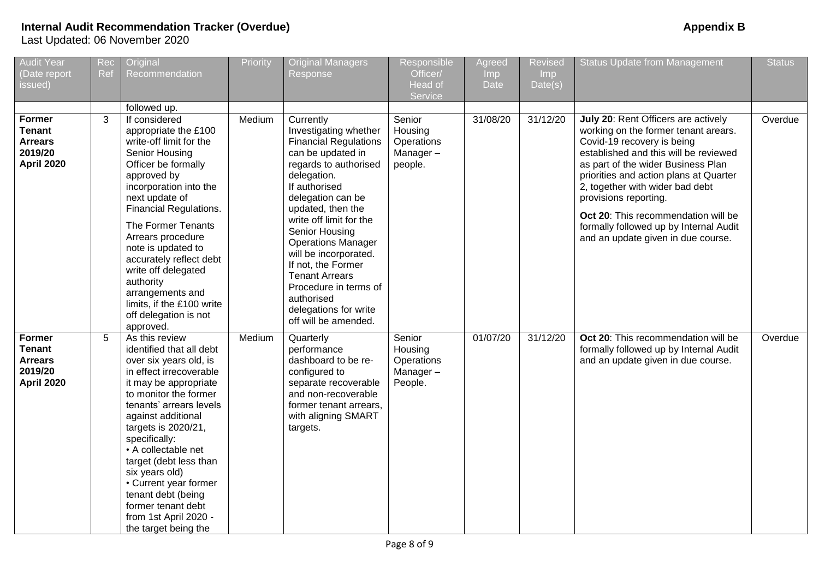| <b>Audit Year</b><br>(Date report<br>issued)                                     | Rec<br>Ref | Original<br>Recommendation                                                                                                                                                                                                                                                                                                                                                                                                          | Priority | <b>Original Managers</b><br>Response                                                                                                                                                                                                                                                                                                                                                                                                 | Responsible<br>Officer/<br>Head of<br>Service          | Agreed<br>Imp<br>Date | <b>Revised</b><br>Imp<br>Date(s) | <b>Status Update from Management</b>                                                                                                                                                                                                                                                                                                                                                                                  | <b>Status</b> |
|----------------------------------------------------------------------------------|------------|-------------------------------------------------------------------------------------------------------------------------------------------------------------------------------------------------------------------------------------------------------------------------------------------------------------------------------------------------------------------------------------------------------------------------------------|----------|--------------------------------------------------------------------------------------------------------------------------------------------------------------------------------------------------------------------------------------------------------------------------------------------------------------------------------------------------------------------------------------------------------------------------------------|--------------------------------------------------------|-----------------------|----------------------------------|-----------------------------------------------------------------------------------------------------------------------------------------------------------------------------------------------------------------------------------------------------------------------------------------------------------------------------------------------------------------------------------------------------------------------|---------------|
|                                                                                  |            | followed up.                                                                                                                                                                                                                                                                                                                                                                                                                        |          |                                                                                                                                                                                                                                                                                                                                                                                                                                      |                                                        |                       |                                  |                                                                                                                                                                                                                                                                                                                                                                                                                       |               |
| Former<br><b>Tenant</b><br><b>Arrears</b><br>2019/20<br><b>April 2020</b>        | 3          | If considered<br>appropriate the £100<br>write-off limit for the<br>Senior Housing<br>Officer be formally<br>approved by<br>incorporation into the<br>next update of<br>Financial Regulations.<br>The Former Tenants<br>Arrears procedure<br>note is updated to<br>accurately reflect debt<br>write off delegated<br>authority<br>arrangements and<br>limits, if the £100 write<br>off delegation is not<br>approved.               | Medium   | Currently<br>Investigating whether<br><b>Financial Regulations</b><br>can be updated in<br>regards to authorised<br>delegation.<br>If authorised<br>delegation can be<br>updated, then the<br>write off limit for the<br>Senior Housing<br><b>Operations Manager</b><br>will be incorporated.<br>If not, the Former<br><b>Tenant Arrears</b><br>Procedure in terms of<br>authorised<br>delegations for write<br>off will be amended. | Senior<br>Housing<br>Operations<br>Manager-<br>people. | 31/08/20              | 31/12/20                         | July 20: Rent Officers are actively<br>working on the former tenant arears.<br>Covid-19 recovery is being<br>established and this will be reviewed<br>as part of the wider Business Plan<br>priorities and action plans at Quarter<br>2, together with wider bad debt<br>provisions reporting.<br>Oct 20: This recommendation will be<br>formally followed up by Internal Audit<br>and an update given in due course. | Overdue       |
| <b>Former</b><br><b>Tenant</b><br><b>Arrears</b><br>2019/20<br><b>April 2020</b> | 5          | As this review<br>identified that all debt<br>over six years old, is<br>in effect irrecoverable<br>it may be appropriate<br>to monitor the former<br>tenants' arrears levels<br>against additional<br>targets is 2020/21,<br>specifically:<br>• A collectable net<br>target (debt less than<br>six years old)<br>• Current year former<br>tenant debt (being<br>former tenant debt<br>from 1st April 2020 -<br>the target being the | Medium   | Quarterly<br>performance<br>dashboard to be re-<br>configured to<br>separate recoverable<br>and non-recoverable<br>former tenant arrears,<br>with aligning SMART<br>targets.                                                                                                                                                                                                                                                         | Senior<br>Housing<br>Operations<br>Manager-<br>People. | 01/07/20              | 31/12/20                         | Oct 20: This recommendation will be<br>formally followed up by Internal Audit<br>and an update given in due course.                                                                                                                                                                                                                                                                                                   | Overdue       |